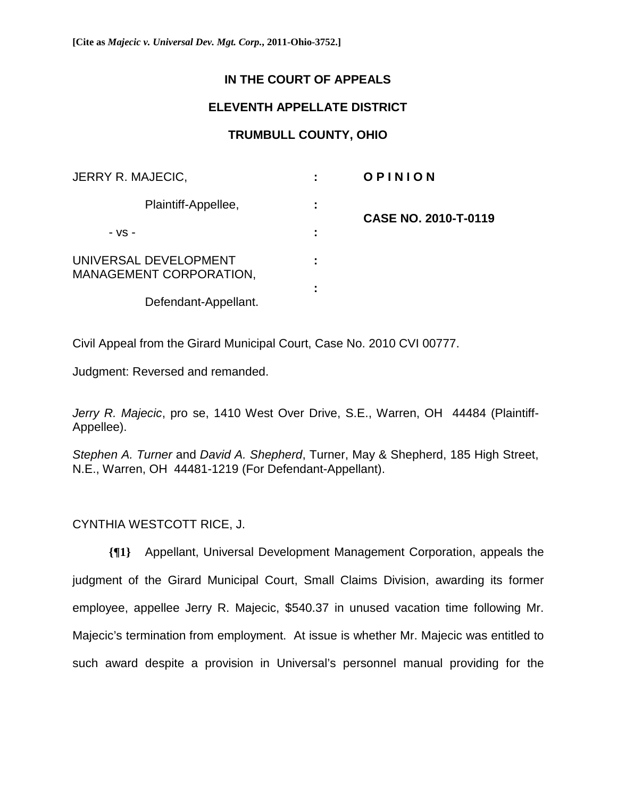## **IN THE COURT OF APPEALS**

## **ELEVENTH APPELLATE DISTRICT**

## **TRUMBULL COUNTY, OHIO**

| JERRY R. MAJECIC,                                       |   | OPINION              |
|---------------------------------------------------------|---|----------------------|
| Plaintiff-Appellee,                                     |   | CASE NO. 2010-T-0119 |
| $-VS -$                                                 | ٠ |                      |
| UNIVERSAL DEVELOPMENT<br><b>MANAGEMENT CORPORATION,</b> |   |                      |
| Defendant-Appellant.                                    |   |                      |

Civil Appeal from the Girard Municipal Court, Case No. 2010 CVI 00777.

Judgment: Reversed and remanded.

*Jerry R. Majecic*, pro se, 1410 West Over Drive, S.E., Warren, OH 44484 (Plaintiff-Appellee).

*Stephen A. Turner* and *David A. Shepherd*, Turner, May & Shepherd, 185 High Street, N.E., Warren, OH 44481-1219 (For Defendant-Appellant).

CYNTHIA WESTCOTT RICE, J.

**{¶1}** Appellant, Universal Development Management Corporation, appeals the judgment of the Girard Municipal Court, Small Claims Division, awarding its former employee, appellee Jerry R. Majecic, \$540.37 in unused vacation time following Mr. Majecic's termination from employment. At issue is whether Mr. Majecic was entitled to such award despite a provision in Universal's personnel manual providing for the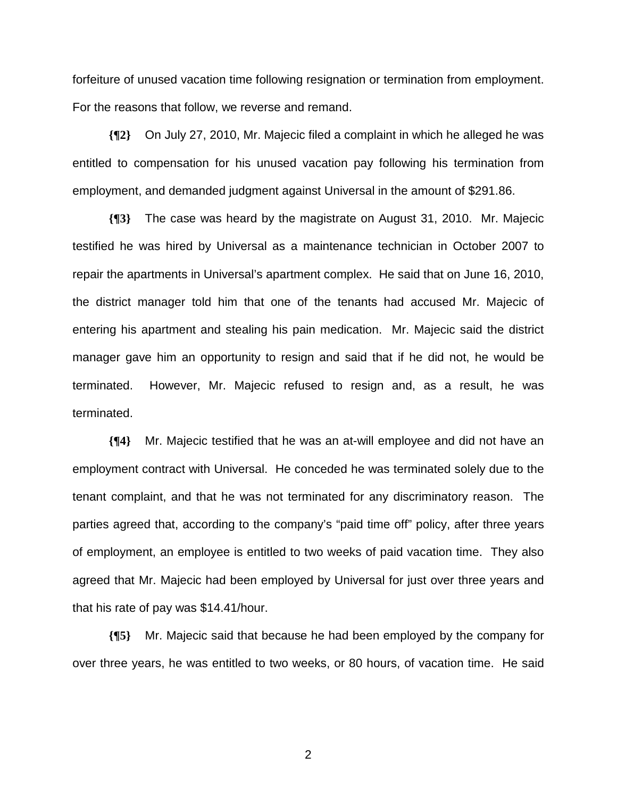forfeiture of unused vacation time following resignation or termination from employment. For the reasons that follow, we reverse and remand.

**{¶2}** On July 27, 2010, Mr. Majecic filed a complaint in which he alleged he was entitled to compensation for his unused vacation pay following his termination from employment, and demanded judgment against Universal in the amount of \$291.86.

**{¶3}** The case was heard by the magistrate on August 31, 2010. Mr. Majecic testified he was hired by Universal as a maintenance technician in October 2007 to repair the apartments in Universal's apartment complex. He said that on June 16, 2010, the district manager told him that one of the tenants had accused Mr. Majecic of entering his apartment and stealing his pain medication. Mr. Majecic said the district manager gave him an opportunity to resign and said that if he did not, he would be terminated. However, Mr. Majecic refused to resign and, as a result, he was terminated.

**{¶4}** Mr. Majecic testified that he was an at-will employee and did not have an employment contract with Universal. He conceded he was terminated solely due to the tenant complaint, and that he was not terminated for any discriminatory reason. The parties agreed that, according to the company's "paid time off" policy, after three years of employment, an employee is entitled to two weeks of paid vacation time. They also agreed that Mr. Majecic had been employed by Universal for just over three years and that his rate of pay was \$14.41/hour.

**{¶5}** Mr. Majecic said that because he had been employed by the company for over three years, he was entitled to two weeks, or 80 hours, of vacation time. He said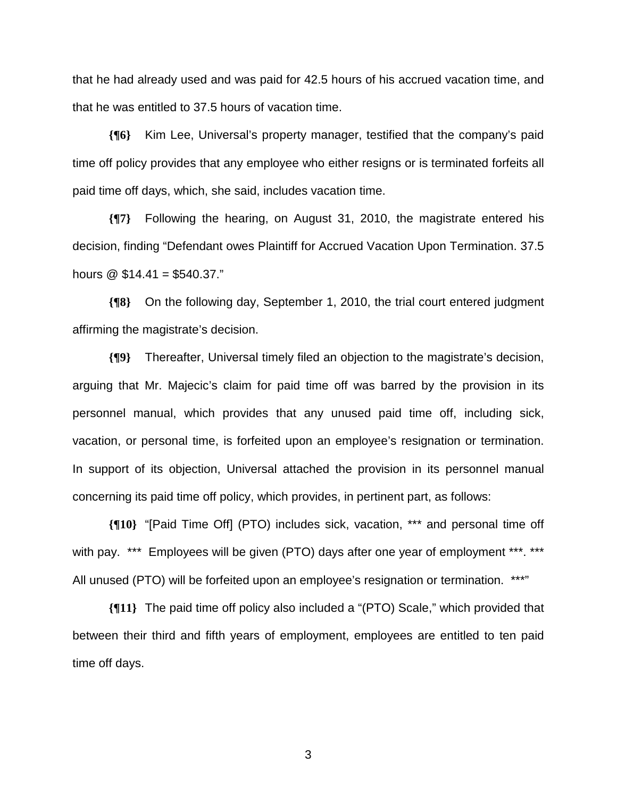that he had already used and was paid for 42.5 hours of his accrued vacation time, and that he was entitled to 37.5 hours of vacation time.

**{¶6}** Kim Lee, Universal's property manager, testified that the company's paid time off policy provides that any employee who either resigns or is terminated forfeits all paid time off days, which, she said, includes vacation time.

**{¶7}** Following the hearing, on August 31, 2010, the magistrate entered his decision, finding "Defendant owes Plaintiff for Accrued Vacation Upon Termination. 37.5 hours  $\omega$  \$14.41 = \$540.37."

**{¶8}** On the following day, September 1, 2010, the trial court entered judgment affirming the magistrate's decision.

**{¶9}** Thereafter, Universal timely filed an objection to the magistrate's decision, arguing that Mr. Majecic's claim for paid time off was barred by the provision in its personnel manual, which provides that any unused paid time off, including sick, vacation, or personal time, is forfeited upon an employee's resignation or termination. In support of its objection, Universal attached the provision in its personnel manual concerning its paid time off policy, which provides, in pertinent part, as follows:

**{¶10}** "[Paid Time Off] (PTO) includes sick, vacation, \*\*\* and personal time off with pay. \*\*\* Employees will be given (PTO) days after one year of employment \*\*\*. \*\*\* All unused (PTO) will be forfeited upon an employee's resignation or termination. \*\*\*"

**{¶11}** The paid time off policy also included a "(PTO) Scale," which provided that between their third and fifth years of employment, employees are entitled to ten paid time off days.

 $\sim$  3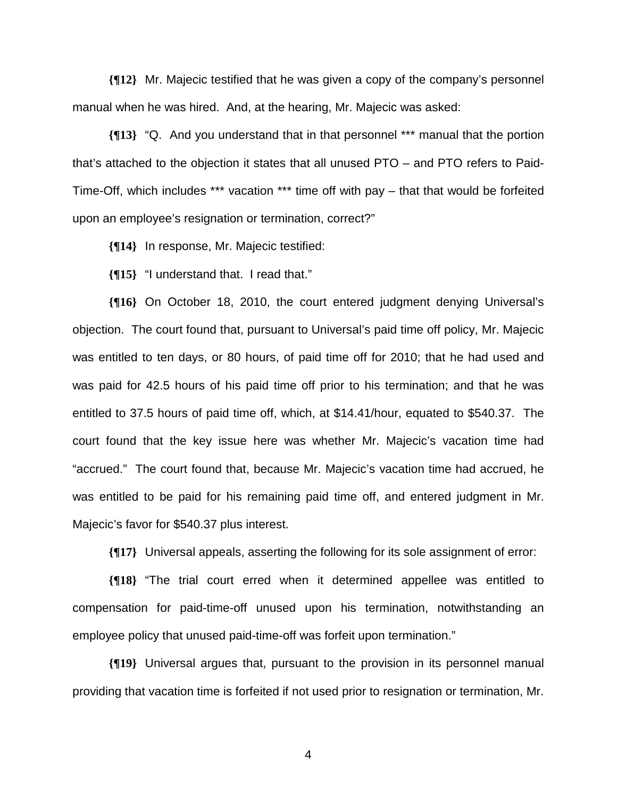**{¶12}** Mr. Majecic testified that he was given a copy of the company's personnel manual when he was hired. And, at the hearing, Mr. Majecic was asked:

**{¶13}** "Q. And you understand that in that personnel \*\*\* manual that the portion that's attached to the objection it states that all unused PTO – and PTO refers to Paid-Time-Off, which includes \*\*\* vacation \*\*\* time off with pay – that that would be forfeited upon an employee's resignation or termination, correct?"

**{¶14}** In response, Mr. Majecic testified:

**{¶15}** "I understand that. I read that."

**{¶16}** On October 18, 2010, the court entered judgment denying Universal's objection. The court found that, pursuant to Universal's paid time off policy, Mr. Majecic was entitled to ten days, or 80 hours, of paid time off for 2010; that he had used and was paid for 42.5 hours of his paid time off prior to his termination; and that he was entitled to 37.5 hours of paid time off, which, at \$14.41/hour, equated to \$540.37. The court found that the key issue here was whether Mr. Majecic's vacation time had "accrued." The court found that, because Mr. Majecic's vacation time had accrued, he was entitled to be paid for his remaining paid time off, and entered judgment in Mr. Majecic's favor for \$540.37 plus interest.

**{¶17}** Universal appeals, asserting the following for its sole assignment of error:

**{¶18}** "The trial court erred when it determined appellee was entitled to compensation for paid-time-off unused upon his termination, notwithstanding an employee policy that unused paid-time-off was forfeit upon termination."

**{¶19}** Universal argues that, pursuant to the provision in its personnel manual providing that vacation time is forfeited if not used prior to resignation or termination, Mr.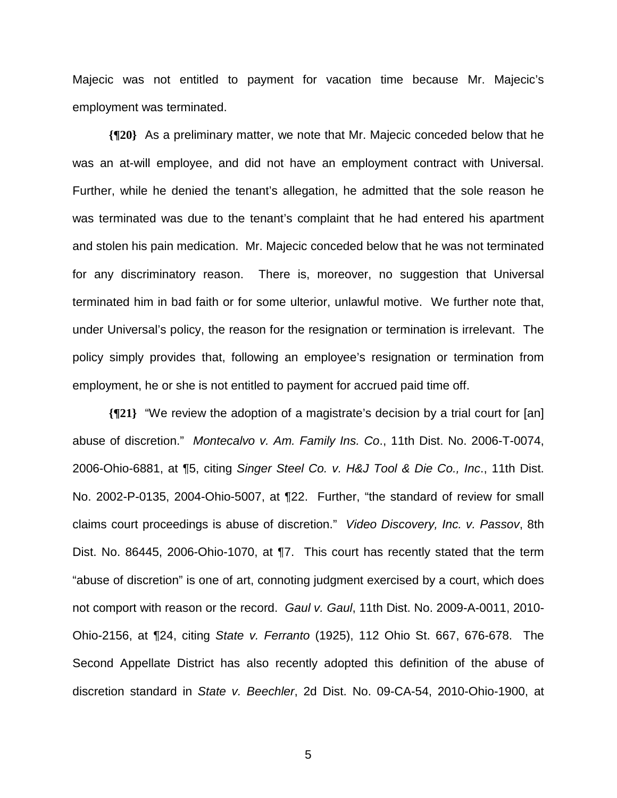Majecic was not entitled to payment for vacation time because Mr. Majecic's employment was terminated.

**{¶20}** As a preliminary matter, we note that Mr. Majecic conceded below that he was an at-will employee, and did not have an employment contract with Universal. Further, while he denied the tenant's allegation, he admitted that the sole reason he was terminated was due to the tenant's complaint that he had entered his apartment and stolen his pain medication. Mr. Majecic conceded below that he was not terminated for any discriminatory reason. There is, moreover, no suggestion that Universal terminated him in bad faith or for some ulterior, unlawful motive. We further note that, under Universal's policy, the reason for the resignation or termination is irrelevant. The policy simply provides that, following an employee's resignation or termination from employment, he or she is not entitled to payment for accrued paid time off.

**{¶21}** "We review the adoption of a magistrate's decision by a trial court for [an] abuse of discretion." *Montecalvo v. Am. Family Ins. Co*., 11th Dist. No. 2006-T-0074, 2006-Ohio-6881, at ¶5, citing *Singer Steel Co. v. H&J Tool & Die Co., Inc*., 11th Dist. No. 2002-P-0135, 2004-Ohio-5007, at ¶22. Further, "the standard of review for small claims court proceedings is abuse of discretion." *Video Discovery, Inc. v. Passov*, 8th Dist. No. 86445, 2006-Ohio-1070, at ¶7. This court has recently stated that the term "abuse of discretion" is one of art, connoting judgment exercised by a court, which does not comport with reason or the record. *Gaul v. Gaul*, 11th Dist. No. 2009-A-0011, 2010- Ohio-2156, at ¶24, citing *State v. Ferranto* (1925), 112 Ohio St. 667, 676-678. The Second Appellate District has also recently adopted this definition of the abuse of discretion standard in *State v. Beechler*, 2d Dist. No. 09-CA-54, 2010-Ohio-1900, at

 $\sim$  5  $\sim$  5  $\sim$  5  $\sim$  5  $\sim$  5  $\sim$  5  $\sim$  5  $\sim$  5  $\sim$  5  $\sim$  5  $\sim$  5  $\sim$  5  $\sim$  5  $\sim$  5  $\sim$  5  $\sim$  5  $\sim$  5  $\sim$  5  $\sim$  5  $\sim$  5  $\sim$  5  $\sim$  5  $\sim$  5  $\sim$  5  $\sim$  5  $\sim$  5  $\sim$  5  $\sim$  5  $\sim$  5  $\sim$  5  $\sim$  5  $\sim$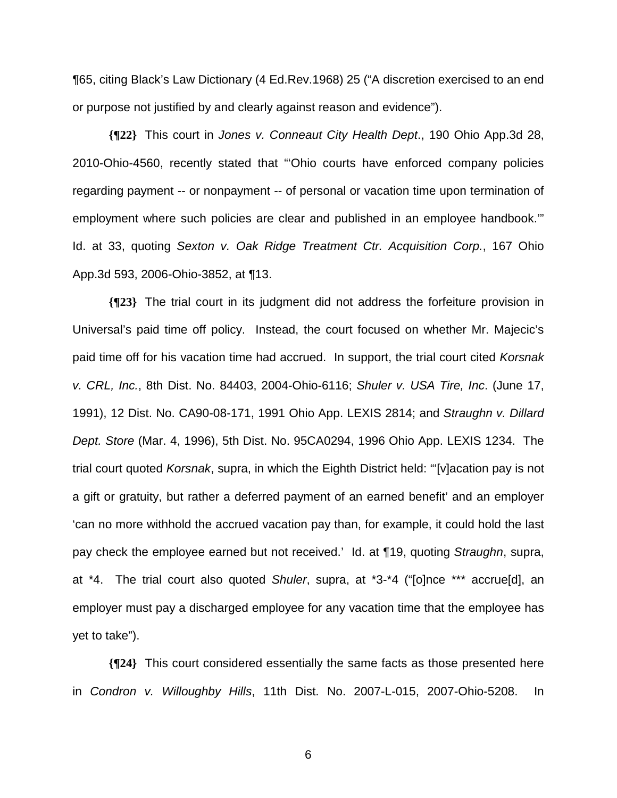¶65, citing Black's Law Dictionary (4 Ed.Rev.1968) 25 ("A discretion exercised to an end or purpose not justified by and clearly against reason and evidence").

**{¶22}** This court in *Jones v. Conneaut City Health Dept*., 190 Ohio App.3d 28, 2010-Ohio-4560, recently stated that "'Ohio courts have enforced company policies regarding payment -- or nonpayment -- of personal or vacation time upon termination of employment where such policies are clear and published in an employee handbook.'" Id. at 33, quoting *Sexton v. Oak Ridge Treatment Ctr. Acquisition Corp.*, 167 Ohio App.3d 593, 2006-Ohio-3852, at ¶13.

**{¶23}** The trial court in its judgment did not address the forfeiture provision in Universal's paid time off policy. Instead, the court focused on whether Mr. Majecic's paid time off for his vacation time had accrued. In support, the trial court cited *Korsnak v. CRL, Inc.*, 8th Dist. No. 84403, 2004-Ohio-6116; *Shuler v. USA Tire, Inc*. (June 17, 1991), 12 Dist. No. CA90-08-171, 1991 Ohio App. LEXIS 2814; and *Straughn v. Dillard Dept. Store* (Mar. 4, 1996), 5th Dist. No. 95CA0294, 1996 Ohio App. LEXIS 1234. The trial court quoted *Korsnak*, supra, in which the Eighth District held: "'[v]acation pay is not a gift or gratuity, but rather a deferred payment of an earned benefit' and an employer 'can no more withhold the accrued vacation pay than, for example, it could hold the last pay check the employee earned but not received.' Id. at ¶19, quoting *Straughn*, supra, at \*4. The trial court also quoted *Shuler*, supra, at \*3-\*4 ("[o]nce \*\*\* accrue[d], an employer must pay a discharged employee for any vacation time that the employee has yet to take").

**{¶24}** This court considered essentially the same facts as those presented here in *Condron v. Willoughby Hills*, 11th Dist. No. 2007-L-015, 2007-Ohio-5208. In

 $\sim$  600  $\sim$  600  $\sim$  600  $\sim$  600  $\sim$  600  $\sim$  600  $\sim$  600  $\sim$  600  $\sim$  600  $\sim$  600  $\sim$  600  $\sim$  600  $\sim$  600  $\sim$  600  $\sim$  600  $\sim$  600  $\sim$  600  $\sim$  600  $\sim$  600  $\sim$  600  $\sim$  600  $\sim$  600  $\sim$  600  $\sim$  600  $\sim$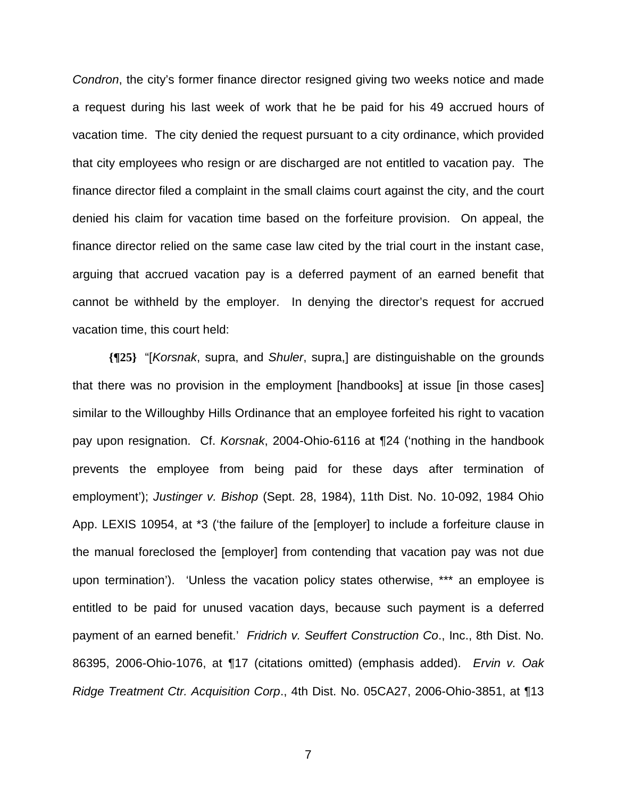*Condron*, the city's former finance director resigned giving two weeks notice and made a request during his last week of work that he be paid for his 49 accrued hours of vacation time. The city denied the request pursuant to a city ordinance, which provided that city employees who resign or are discharged are not entitled to vacation pay. The finance director filed a complaint in the small claims court against the city, and the court denied his claim for vacation time based on the forfeiture provision. On appeal, the finance director relied on the same case law cited by the trial court in the instant case, arguing that accrued vacation pay is a deferred payment of an earned benefit that cannot be withheld by the employer. In denying the director's request for accrued vacation time, this court held:

**{¶25}** "[*Korsnak*, supra, and *Shuler*, supra,] are distinguishable on the grounds that there was no provision in the employment [handbooks] at issue [in those cases] similar to the Willoughby Hills Ordinance that an employee forfeited his right to vacation pay upon resignation. Cf. *Korsnak*, 2004-Ohio-6116 at ¶24 ('nothing in the handbook prevents the employee from being paid for these days after termination of employment'); *Justinger v. Bishop* (Sept. 28, 1984), 11th Dist. No. 10-092, 1984 Ohio App. LEXIS 10954, at \*3 ('the failure of the [employer] to include a forfeiture clause in the manual foreclosed the [employer] from contending that vacation pay was not due upon termination'). 'Unless the vacation policy states otherwise, \*\*\* an employee is entitled to be paid for unused vacation days, because such payment is a deferred payment of an earned benefit.' *Fridrich v. Seuffert Construction Co*., Inc., 8th Dist. No. 86395, 2006-Ohio-1076, at ¶17 (citations omitted) (emphasis added). *Ervin v. Oak Ridge Treatment Ctr. Acquisition Corp*., 4th Dist. No. 05CA27, 2006-Ohio-3851, at ¶13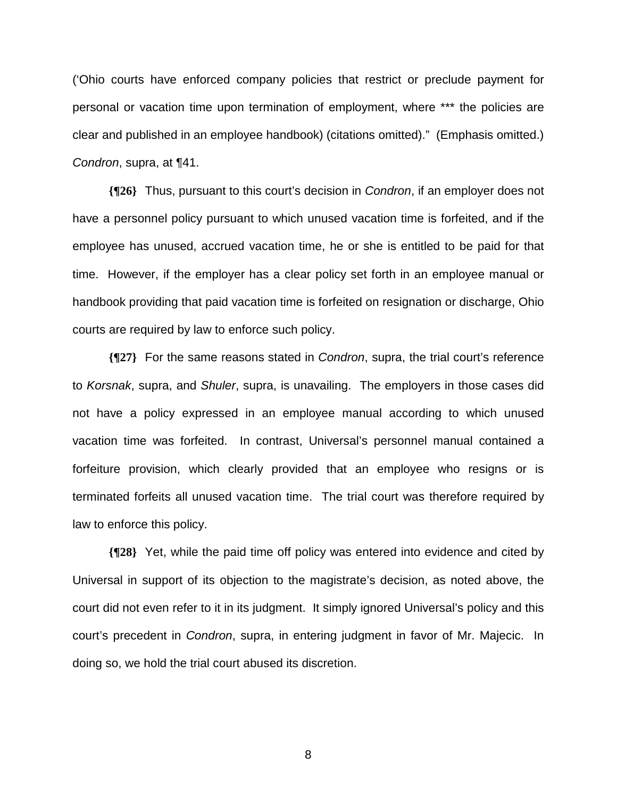('Ohio courts have enforced company policies that restrict or preclude payment for personal or vacation time upon termination of employment, where \*\*\* the policies are clear and published in an employee handbook) (citations omitted)." (Emphasis omitted.) *Condron*, supra, at ¶41.

**{¶26}** Thus, pursuant to this court's decision in *Condron*, if an employer does not have a personnel policy pursuant to which unused vacation time is forfeited, and if the employee has unused, accrued vacation time, he or she is entitled to be paid for that time. However, if the employer has a clear policy set forth in an employee manual or handbook providing that paid vacation time is forfeited on resignation or discharge, Ohio courts are required by law to enforce such policy.

**{¶27}** For the same reasons stated in *Condron*, supra, the trial court's reference to *Korsnak*, supra, and *Shuler*, supra, is unavailing. The employers in those cases did not have a policy expressed in an employee manual according to which unused vacation time was forfeited. In contrast, Universal's personnel manual contained a forfeiture provision, which clearly provided that an employee who resigns or is terminated forfeits all unused vacation time. The trial court was therefore required by law to enforce this policy.

**{¶28}** Yet, while the paid time off policy was entered into evidence and cited by Universal in support of its objection to the magistrate's decision, as noted above, the court did not even refer to it in its judgment. It simply ignored Universal's policy and this court's precedent in *Condron*, supra, in entering judgment in favor of Mr. Majecic. In doing so, we hold the trial court abused its discretion.

en andere de la provincia de la provincia de la provincia de la provincia de la provincia de la provincia del<br>En 1888, en 1888, en 1888, en 1888, en 1888, en 1888, en 1888, en 1888, en 1888, en 1888, en 1888, en 1888, en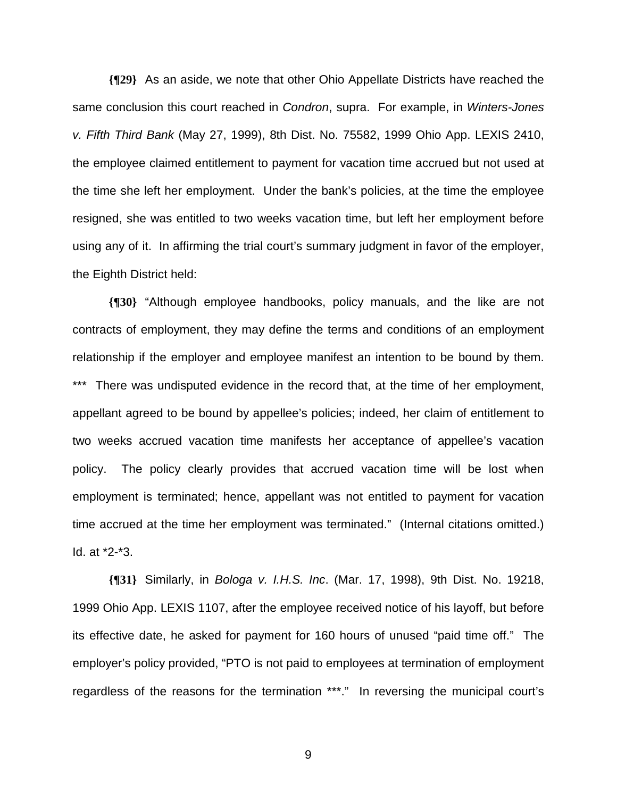**{¶29}** As an aside, we note that other Ohio Appellate Districts have reached the same conclusion this court reached in *Condron*, supra. For example, in *Winters-Jones v. Fifth Third Bank* (May 27, 1999), 8th Dist. No. 75582, 1999 Ohio App. LEXIS 2410, the employee claimed entitlement to payment for vacation time accrued but not used at the time she left her employment. Under the bank's policies, at the time the employee resigned, she was entitled to two weeks vacation time, but left her employment before using any of it. In affirming the trial court's summary judgment in favor of the employer, the Eighth District held:

**{¶30}** "Although employee handbooks, policy manuals, and the like are not contracts of employment, they may define the terms and conditions of an employment relationship if the employer and employee manifest an intention to be bound by them. \*\*\* There was undisputed evidence in the record that, at the time of her employment, appellant agreed to be bound by appellee's policies; indeed, her claim of entitlement to two weeks accrued vacation time manifests her acceptance of appellee's vacation policy. The policy clearly provides that accrued vacation time will be lost when employment is terminated; hence, appellant was not entitled to payment for vacation time accrued at the time her employment was terminated." (Internal citations omitted.) Id. at \*2-\*3.

**{¶31}** Similarly, in *Bologa v. I.H.S. Inc*. (Mar. 17, 1998), 9th Dist. No. 19218, 1999 Ohio App. LEXIS 1107, after the employee received notice of his layoff, but before its effective date, he asked for payment for 160 hours of unused "paid time off." The employer's policy provided, "PTO is not paid to employees at termination of employment regardless of the reasons for the termination \*\*\*." In reversing the municipal court's